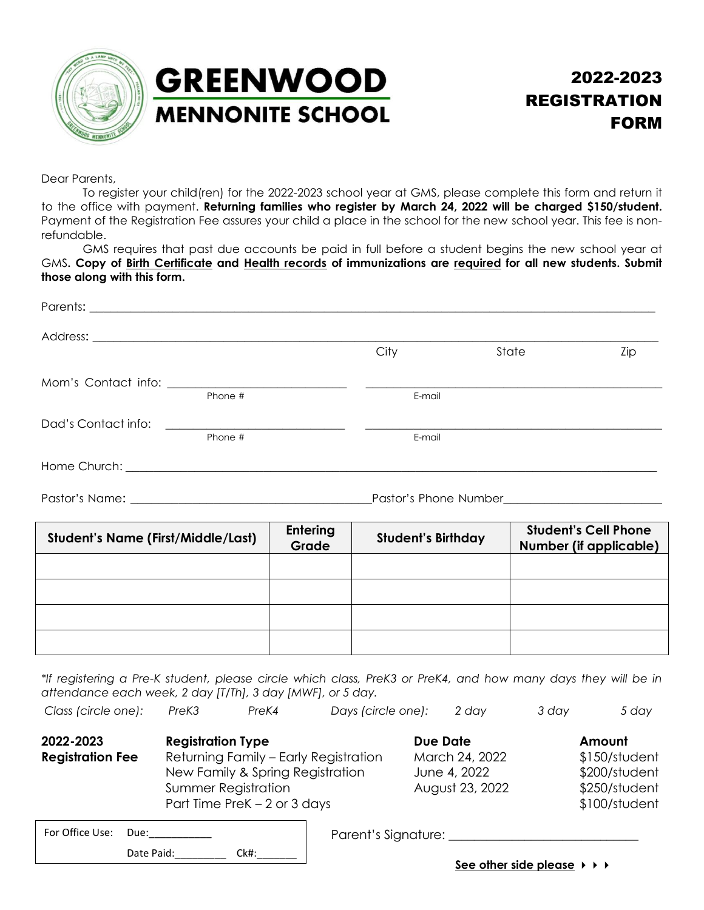

## **GREENWOOD MENNONITE SCHOOL**

## 2022-2023 REGISTRATION FORM

Dear Parents,

To register your child(ren) for the 2022-2023 school year at GMS, please complete this form and return it to the office with payment. **Returning families who register by March 24, 2022 will be charged \$150/student.** Payment of the Registration Fee assures your child a place in the school for the new school year. This fee is nonrefundable.

GMS requires that past due accounts be paid in full before a student begins the new school year at GMS**. Copy of Birth Certificate and Health records of immunizations are required for all new students. Submit those along with this form.** 

|                                           |         |                          | City                      | State<br>Zip                                          |
|-------------------------------------------|---------|--------------------------|---------------------------|-------------------------------------------------------|
|                                           |         |                          |                           |                                                       |
|                                           | Phone # |                          | E-mail                    |                                                       |
|                                           |         |                          |                           |                                                       |
|                                           | Phone # |                          | E-mail                    |                                                       |
|                                           |         |                          |                           |                                                       |
|                                           |         |                          |                           |                                                       |
|                                           |         |                          |                           |                                                       |
| <b>Student's Name (First/Middle/Last)</b> |         | <b>Entering</b><br>Grade | <b>Student's Birthday</b> | <b>Student's Cell Phone</b><br>Number (if applicable) |
|                                           |         |                          |                           |                                                       |
|                                           |         |                          |                           |                                                       |
|                                           |         |                          |                           |                                                       |
|                                           |         |                          |                           |                                                       |

*\*If registering a Pre-K student, please circle which class, PreK3 or PreK4, and how many days they will be in attendance each week, 2 day [T/Th], 3 day [MWF], or 5 day.*

| Class (circle one):                  | PreK <sub>3</sub>        | PreK4                                                                                                                                    | Days (circle one): | 2 dav                                                         | 3 day | 5 day                                                                      |
|--------------------------------------|--------------------------|------------------------------------------------------------------------------------------------------------------------------------------|--------------------|---------------------------------------------------------------|-------|----------------------------------------------------------------------------|
| 2022-2023<br><b>Registration Fee</b> | <b>Registration Type</b> | Returning Family - Early Registration<br>New Family & Spring Registration<br><b>Summer Registration</b><br>Part Time PreK $-2$ or 3 days |                    | Due Date<br>March 24, 2022<br>June 4, 2022<br>August 23, 2022 |       | Amount<br>\$150/student<br>\$200/student<br>\$250/student<br>\$100/student |

| For Office Use: | Due:       |      |  |
|-----------------|------------|------|--|
|                 | Date Paid: | Ck#: |  |

Parent's Signature: \_\_\_\_\_\_\_\_\_\_\_\_\_\_\_\_\_\_\_\_\_\_\_\_\_\_\_\_\_\_

**See other side please**